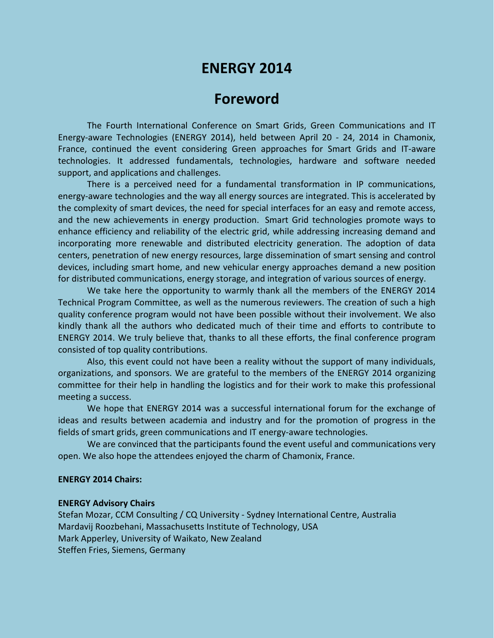# **ENERGY 2014**

# **Foreword**

The Fourth International Conference on Smart Grids, Green Communications and IT Energy-aware Technologies (ENERGY 2014), held between April 20 - 24, 2014 in Chamonix, France, continued the event considering Green approaches for Smart Grids and IT-aware technologies. It addressed fundamentals, technologies, hardware and software needed support, and applications and challenges.

There is a perceived need for a fundamental transformation in IP communications, energy-aware technologies and the way all energy sources are integrated. This is accelerated by the complexity of smart devices, the need for special interfaces for an easy and remote access, and the new achievements in energy production. Smart Grid technologies promote ways to enhance efficiency and reliability of the electric grid, while addressing increasing demand and incorporating more renewable and distributed electricity generation. The adoption of data centers, penetration of new energy resources, large dissemination of smart sensing and control devices, including smart home, and new vehicular energy approaches demand a new position for distributed communications, energy storage, and integration of various sources of energy.

We take here the opportunity to warmly thank all the members of the ENERGY 2014 Technical Program Committee, as well as the numerous reviewers. The creation of such a high quality conference program would not have been possible without their involvement. We also kindly thank all the authors who dedicated much of their time and efforts to contribute to ENERGY 2014. We truly believe that, thanks to all these efforts, the final conference program consisted of top quality contributions.

Also, this event could not have been a reality without the support of many individuals, organizations, and sponsors. We are grateful to the members of the ENERGY 2014 organizing committee for their help in handling the logistics and for their work to make this professional meeting a success.

We hope that ENERGY 2014 was a successful international forum for the exchange of ideas and results between academia and industry and for the promotion of progress in the fields of smart grids, green communications and IT energy-aware technologies.

We are convinced that the participants found the event useful and communications very open. We also hope the attendees enjoyed the charm of Chamonix, France.

#### **ENERGY 2014 Chairs:**

#### **ENERGY Advisory Chairs**

Stefan Mozar, CCM Consulting / CQ University - Sydney International Centre, Australia Mardavij Roozbehani, Massachusetts Institute of Technology, USA Mark Apperley, University of Waikato, New Zealand Steffen Fries, Siemens, Germany